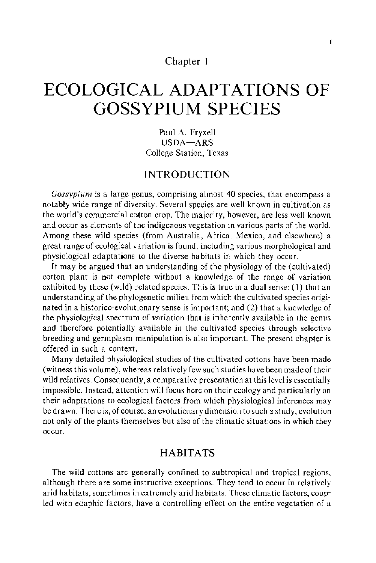## Chapter **1**

# **ECOLOGICAL ADAPTATIONS OF GOSSYPIUM SPECIES**

Paul A. Fryxell USDA-ARS College Station, Texas

# **INTRODUCTION**

*Gossypium* is a large genus, comprising almost 40 species, that encompass a notably wide range of diversity. Several species are well known in cultivation as the world's commercial cotton crop. The majority, however, are less well known and occur as elements of the indigenous vegetation in various parts of the world. Among these wild species {from Australia, Africa, Mexico, and elsewhere) a great range of ecological variation is found, including various morphological and physiological adaptations to the diverse habitats in which they occur.

It may be argued that an understanding of the physiology of the (cultivated) cotton plant is not complete without a knowledge of the range of variation exhibited by these {wild) related species. This is true in a dual sense: (1) that an understanding of the phylogenetic milieu from which the cultivated species originated in a historico-evolutionary sense is important; and (2) that a knowledge of the physiological spectrum of variation that is inherently available in the genus and therefore potentially available in the cultivated species through selective breeding and germplasm manipulation is also important. The present chapter is offered **in** such a context.

Many detailed physiological studies of the cultivated cottons have been made (witness this volume), whereas relatively few such studies have been made of their wild relatives. Consequently, a comparative presentation at this level is essentially impossible. Instead, attention will focus here on their ecology and particularly on their adaptations to ecological factors from which physiological inferences may be drawn. There is, of course, an evolutionary dimension to such a study, evolution not only of the plants themselves but also of the climatic situations in which they occur.

## **HABITATS**

The wild cottons are generally confined to subtropical and tropical regions, although there are some instructive exceptions. They tend to occur in relatively arid habitats, sometimes in extremely arid habitats. These climatic factors, coupled with edaphic factors, have a controlling effect on the entire vegetation of a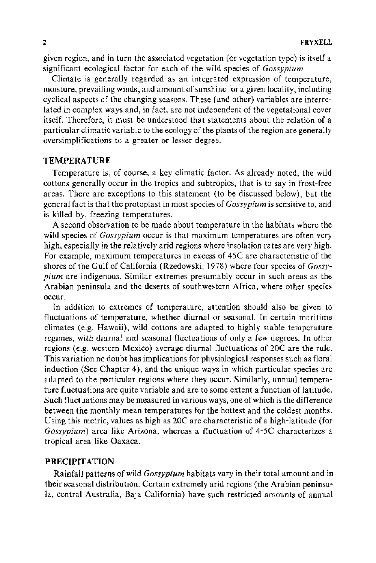given region, and in turn the associated vegetation (or vegetation type) is itself a significant ecological factor for each of the wild species of *Gossypium.* 

Climate is generally regarded as an integrated expression of temperature, moisture, prevailing winds, and amount of sunshine for a given locality, including cyclical aspects of the changing seasons. These (and other) variables are interrelated in complex ways and, in fact, are not independent of the vegetational cover itself. Therefore, it must be understood that statements about the relation of a particular climatic variable to the ecology of the plants of the region are generally oversimplifications to a greater or lesser degree.

#### **TEMPERATURE**

Temperature is, of course, a key climatic factor. As already noted, the wild cottons generally occur in the tropics and subtropics, that is to say in frost-free areas. There are exceptions to this statement (to be discussed below), but the general fact is that the protoplast in most species of *Gossypium* is sensitive to, and is killed by, freezing temperatures.

A second observation to be made about temperature in the habitats where the wild species of *Gossypium* occur is that maximum temperatures are often very high, especially in the relatively arid regions where insolation rates are very high. For example, maximum temperatures in excess of 45C are characteristic of the shores of the Gulf of California (Rzedowski, 1978) where four species of *Gossypium* are indigenous. Similar extremes presumably occur in such areas as the Arabian peninsula and the deserts of southwestern Africa, where other species occur.

In addition to extremes of temperature, attention should also be given to fluctuations of temperature, whether diurnal or seasonal. In certain maritime climates (e.g. Hawaii), wild cottons are adapted to highly stable temperature regimes, with diurnal and seasonal fluctuations of only a few degrees. In other regions (e.g. western Mexico) average diurnal fluctuations of 20C are the rule. This variation no doubt has implications for physiological responses such as floral induction (See Chapter 4), and the unique ways in which particular species are adapted to the particular regions where they occur. Similarly, annual temperature fluctuations are quite variable and are to some extent a function of latitude. Such fluctuations may be measured in various ways, one of which is the difference between the monthly mean temperatures for the hottest and the coldest months. Using this metric, values as high as 20C are characteristic of a high-latitude (for *Gossypium)* area like Arizona, whereas a fluctuation of 4-5C characterizes a tropical area like Oaxaca.

#### **PRECIPITATION**

Rainfal1 patterns of wild *Gossypium* habitats vary in their total amount and in their seasonal distribution. Certain extremely arid regions (the Arabian peninsula, central Australia, Baja California) have such restricted amounts of annual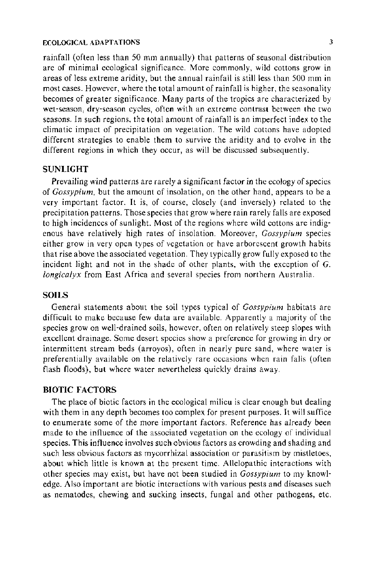#### ECOLOGICAL ADAPTATIONS 3

rainfall (often less than 50 mm annually) that patterns of seasonal distribution are of minimal ecological significance. More commonly, wild cottons grow in areas of less extreme aridity, but the annual rainfall is still less than 500 mm in most cases. However, where the total amount of rainfall is higher, the seasonality becomes of greater significance. Many parts of the tropics are characterized by wet-season, dry-season cycles, often with an extreme contrast between the two seasons. In such regions, the total amount of rainfall is an imperfect index to the climatic impact of precipitation on vegetation. The wild cottons have adopted different strategies to enable them to survive the aridity and to evolve in the different regions in which they occur, as will be discussed subsequently.

#### **SUNLIGHT**

Prevailing wind patterns are rarely a significant factor in the ecology of species of *Gossypium,* but the amount of insolation, on the other hand, appears to be a very important factor. It is, of course, closely (and inversely) related to the precipitation patterns. Those species that grow where rain rarely falls are exposed to high incidences of sunlight. Most of the regions where wild cottons are indigenous have relatively high rates of insolation. Moreover, *Gossypium* species either grow in very open types of vegetation or have arborescent growth habits that rise above the associated vegetation. They typically grow fully exposed to the incident light and not in the shade of other plants, with the exception of G. *longicalyx* from East Africa and several species from northern Australia.

#### **SOILS**

General statements about the soil types typical of *Gossypium* habitats are difficult to make because few data are available. Apparently a majority of the species grow on well-drained soils, however, often on relatively steep slopes with excellent drainage. Some desert species show a preference for growing in dry or intermittent stream beds (arroyos), often in nearly pure sand, where water is preferentially available on the relatively rare occasions when rain falls (often flash floods), but where water nevertheless quickly drains away.

## **BIOTIC FACTORS**

The place of biotic factors in the ecological milieu is clear enough but dealing with them in any depth becomes too complex for present purposes. It will suffice to enumerate some of the more important factors. Reference has already been made to the influence of the associated vegetation on the ecology of individual species. This influence involves such obvious factors as crowding and shading and such less obvious factors as mycorrhizal association or parasitism by mistletoes, about which little is known at the present time. Allelopathic interactions with other species may exist, but have not been studied in *Gossypium* to my knowledge. Also important are biotic interactions with various pests and diseases such as nematodes, chewing and sucking insects, fungal and other pathogens, etc.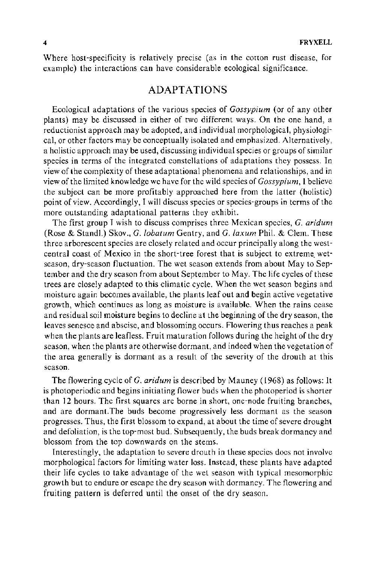Where host-specificity is relatively precise (as in the cotton rust disease, for example) the interactions can have considerable ecological significance.

## ADAPTATIONS

Ecological adaptations of the various species of *Gossypium* (or of any other plants) may be discussed in either of two different ways. On the one hand, a reductionist approach may be adopted, and individual morphological, physiological, or other factors may be conceptually isolated and emphasized. Alternatively, a holistic approach may be used, discussing individual species or groups of similar species in terms of the integrated constellations of adaptations they possess. In view of the complexity of these adaptational phenomena and relationships, and in view of the limited knowledge we have for the wild species of *Gossypium,* I believe the subject can be more profitably approached here from the latter (holistic) point of view. Accordingly, I will discuss species or species-groups in terms of the more outstanding adaptational patterns they exhibit.

The first group I wish to discuss comprises three Mexican species, G. *aridum*  (Rose & Standi.) Skov., G. *lobatum* Gentry, and *G. laxum* Phil. & Clem. These three arborescent species are closely related and occur principally along the westcentral coast of Mexico in the short-tree forest that is subject to extreme\_ wetseason, dry-season fluctuation. The wet season extends from about May to September and the dry season from about September to May. The life cycles of these trees are closely adapted to this climatic cycle. When the wet season begins and moisture again becomes available, the plants leaf out and begin active vegetative growth, which continues as long as moisture is available. When the rains cease and residual soil moisture begins to decline at the beginning of the dry season, the leaves senesce and abscise, and blossoming occurs. Flowering thus reaches a peak when the plants are leafless. Fruit maturation follows during the height of the dry season, when the plants are otherwise dormant, and indeed when the vegetation of the area generally is dormant as a result of the severity of the drouth at this season.

The flowering cycle of G. *arid urn* is described by Mauney ( 1968) as follows: It is photoperiodic and begins initiating flower buds when the photoperiod is shorter than 12 hours. The first squares are borne in short, one-node fruiting branches, and are dormant.The buds become progressively less dormant as the season progresses. Thus, the first blossom to expand, at about the time of severe drought and defoliation, is the top-most bud. Subsequently, the buds break dormancy and blossom from the top downwards on the stems.

Interestingly, the adaptation to severe drouth in these species does not involve morphological factors for limiting water loss. Instead, these plants have adapted their life cycles to take advantage of the wet season with typical mesomorphic growth but to endure or escape the dry season with dormancy. The flowering and fruiting pattern is deferred until the onset of the dry season.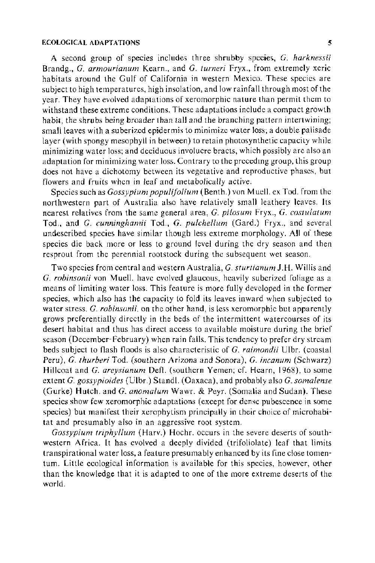#### ECOLOGICAL ADAPTATIONS 5

A second group of species includes three shrubby species, *G. harknessii*  Brandg., *G. armourianum* Kearn., and *G. turneri* Fryx., from extremely xeric habitats around the Gulf of California in western Mexico. These species are subject to high temperatures, high insolation, and low rainfall through most of the year. They have evolved adaptations of xeromorphic nature than permit them to withstand these extreme conditions. These adaptations include a compact growth habit, the shrubs being broader than tall and the branching pattern intertwining; small leaves with a suberized epidermis to minimize water loss; a double palisade layer (with spongy mesophyll in between) to retain photosynthetic capacity while minimizing water loss; and deciduous involucre bracts, which possibly are also an adaptation for minimizing water loss. Contrary to the preccdmg group, this group does not have a dichotomy between its vegetative and reproductive phases, but flowers and fruits when in leaf and metabolically active.

Species such as *Gossypium populifolium* (Benth.) von M uell. ex Tod. from the northwestern part of Australia also have relatively small leathery leaves. Its nearest relatives from the same general area, *G. pilosum* Fryx., *G. costulatum*  Tod., and *G. cunninghamii* Tod., *G. pulche!lum* (Gard.) Fryx., and several undescribed species have similar though less extreme morphology. All of these species die back more or less to ground level during the dry season and then resprout from the perennial rootstock during the subsequent wet season.

Two species from central and western Australia, *G. sturtianum* J.H. Willis and *G. robinsonii* von Muell. have evolved glaucous, heavily suberized foliage as a means of limiting water loss. This feature is more fully developed in the former species, which also has the capacity to fold its leaves inward when subjected to water stress. *G. robinsonii,* on the other hand, is less xeromorphic but apparently grows preferentially directly in the beds of the intermittent watercourses of its desert habitat and thus has direct access to available moisture during the brief season (December-February) when rain falls. This tendency to prefer dry stream beds subject to flash floods is also characteristic of *G. raimondii* Ulbr. (coastal Peru), *G. thurberi* Tod. (southern Arizona and Sonora), *G. incanum* (Schwarz) Hillcoat and *G. areysianum* Defl. (southern Yemen; cf. Hearn, 1968), to some extent *G. gossypioides* (Ulbr.) Standi. (Oaxaca), and probably also *G. somalense*  (Gurke) Hutch. and *G. anomalum* Wawr. & Peyr. (Somalia and Sudan). These species show few xeromorphic adaptations (except for dense pubescence in some species) but manifest their xerophytism principally in their choice of microhabitat and presumably also in an aggressive root system.

*Gossypium triphy!lum* (Harv.) Hochr. occurs in the severe deserts of southwestern Africa. It has evolved a deeply divided (trifoliolate) leaf that limits transpirational water loss, a feature presumably enhanced by its fine close tomentum. Little ecological information is available for this species, however, other than the knowledge that it is adapted to one of the more extreme deserts of the world.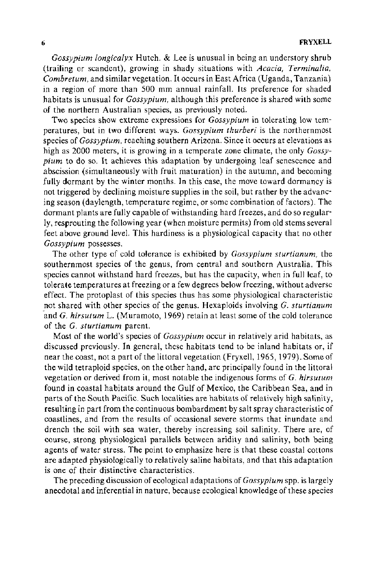*Gossypium longicalyx* Hutch. & Lee is unusual in being an understory shrub (trailing or scandent), growing in shady situations with *Acacia, Terminalia, Combretum,* and similar vegetation. It occurs in East Africa (Uganda, Tanzania) in a region of more than 500 mm annual rainfall. Its preference for shaded habitats is unusual for *Gossypium,* although this preference is shared with some of the northern Australian species, as previously noted.

Two species show extreme expressions for *Gossypium* in tolerating low temperatures, but in two different ways. *Gossypium thurberi* is the northernmost species of *Gossypium,* reaching southern Arizona. Since it occurs at elevations as high as 2000 meters, it is growing in a temperate zone climate, the only *Gossypium* to do so. It achieves this adaptation by undergoing leaf senescence and abscission (simultaneously with fruit maturation) in the autumn, and becoming fully dormant by the winter months. In this case, the move toward dormancy is not triggered by declining moisture supplies in the soil, but rather by the advancing season (day length, temperature regime, or some combination of factors). The dormant plants are fully capable of withstanding hard freezes, and do so regularly, resprouting the following year (when moisture permits) from old stems several feet above ground level. This hardiness is a physiological capacity that no other *Gossypium* possesses.

The other type of cold tolerance is exhibited by *Gossypium sturtianum,* the southernmost species of the genus, from central and southern Australia. This species cannot withstand hard freezes, but has the capacity, when in full leaf, to tolerate temperatures at freezing or a few degrees below freezing, without adverse effect. The protoplast of this species thus has some physiological characteristic not shared with other species of the genus. Hexaploids involving *G. sturtianum*  -and *G. hirsutum* L. (Muramoto, 1969) retain at least some of the cold tolerance of the *G. sturtianum* parent.

Most of the world's species of *Gossypium* occur in relatively arid habitats, as discussed previously. In general, these habitats tend to be inland habitats or, if near the coast, not a part of the littoral vegetation (Fryxell, 1965, 1979). Some of the wild tetraploid species, on the other hand, are principally found in the littoral vegetation or derived from it, most notable the indigenous forms of *G. hirsutum*  found in coastal habitats around the Gulf of Mexico, the Caribbean Sea, and in parts of the South Pacific. Such localities are habitats of relatively high salinity, resulting in part from the continuous bombardment by salt spray characteristic of coastlines, and from the results of occasional severe storms that inundate and drench the soil with sea water, thereby increasing soil salinity. There are, of course, strong physiological parallels between aridity and salinity, both being agents of water stress. The point to emphasize here is that these coastal cottons are adapted physiologically to relatively saline habitats, and that this adaptation is one of their distinctive characteristics.

The preceding discussion of ecological adaptations of *Gossypium* spp. is largely anecdotal and inferential in nature, because ecological knowledge of these species